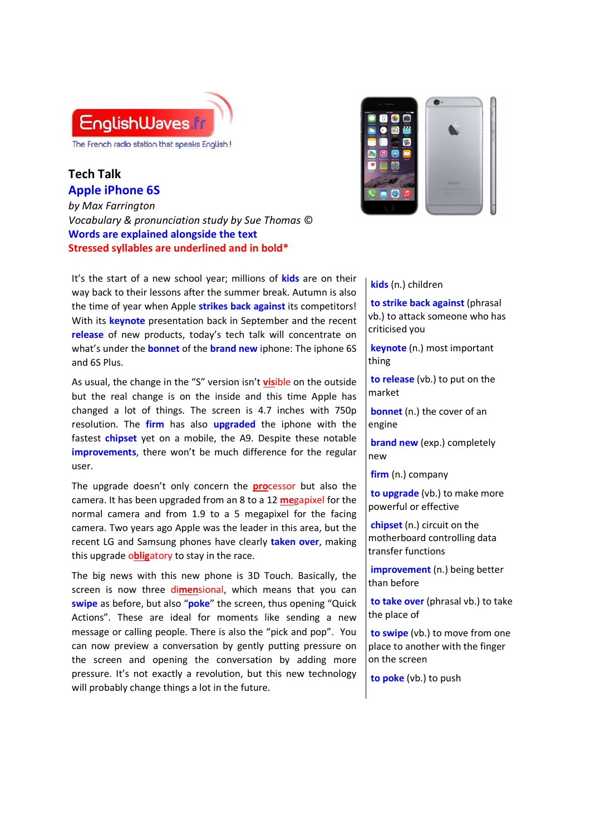

## **Tech Talk Apple iPhone 6S**

*by Max Farrington Vocabulary & pronunciation study by Sue Thomas* © **Words are explained alongside the text Stressed syllables are underlined and in bold\***

It's the start of a new school year; millions of **kids** are on their way back to their lessons after the summer break. Autumn is also the time of year when Apple **strikes back against** its competitors! With its **keynote** presentation back in September and the recent **release** of new products, today's tech talk will concentrate on what's under the **bonnet** of the **brand new** iphone: The iphone 6S and 6S Plus.

As usual, the change in the "S" version isn't **vis**ible on the outside but the real change is on the inside and this time Apple has changed a lot of things. The screen is 4.7 inches with 750p resolution. The **firm** has also **upgraded** the iphone with the fastest **chipset** yet on a mobile, the A9. Despite these notable **improvements**, there won't be much difference for the regular user.

The upgrade doesn't only concern the **pro**cessor but also the camera. It has been upgraded from an 8 to a 12 **me**gapixel for the normal camera and from 1.9 to a 5 megapixel for the facing camera. Two years ago Apple was the leader in this area, but the recent LG and Samsung phones have clearly **taken over**, making this upgrade o**blig**atory to stay in the race.

The big news with this new phone is 3D Touch. Basically, the screen is now three di**men**sional, which means that you can **swipe** as before, but also "**poke**" the screen, thus opening "Quick Actions". These are ideal for moments like sending a new message or calling people. There is also the "pick and pop". You can now preview a conversation by gently putting pressure on the screen and opening the conversation by adding more pressure. It's not exactly a revolution, but this new technology will probably change things a lot in the future.



## **kids** (n.) children

 **to strike back against** (phrasal vb.) to attack someone who has criticised you

 **keynote** (n.) most important thing

 **to release** (vb.) to put on the market

**bonnet** (n.) the cover of an engine

**brand new** (exp.) completely new

 **firm** (n.) company

 **to upgrade** (vb.) to make more powerful or effective

 **chipset** (n.) circuit on the motherboard controlling data transfer functions

**improvement** (n.) being better than before

 **to take over** (phrasal vb.) to take the place of

 **to swipe** (vb.) to move from one place to another with the finger on the screen

 **to poke** (vb.) to push